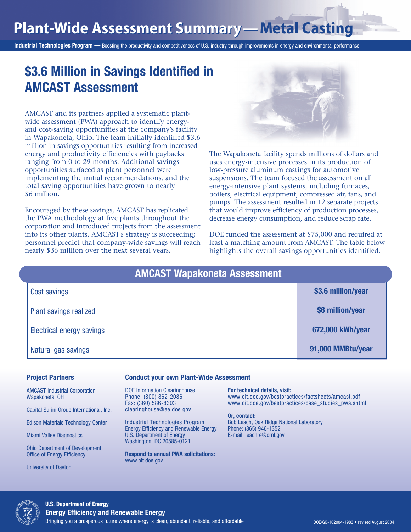# **Plant-Wide Assessment Summary — Plant-Wide Assessment Summary —Metal Casting**

Industrial Technologies Program — Boosting the productivity and competitiveness of U.S. industry through improvements in energy and environmental performance

## \$3.6 Million in Savings Identified in AMCAST Assessment

AMCAST and its partners applied a systematic plantwide assessment (PWA) approach to identify energyand cost-saving opportunities at the company's facility in Wapakoneta, Ohio. The team initially identified \$3.6 million in savings opportunities resulting from increased energy and productivity efficiencies with paybacks ranging from 0 to 29 months. Additional savings opportunities surfaced as plant personnel were implementing the initial recommendations, and the total saving opportunities have grown to nearly \$6 million.

Encouraged by these savings, AMCAST has replicated the PWA methodology at five plants throughout the corporation and introduced projects from the assessment into its other plants. AMCAST's strategy is succeeding; personnel predict that company-wide savings will reach nearly \$36 million over the next several years.



The Wapakoneta facility spends millions of dollars and uses energy-intensive processes in its production of low-pressure aluminum castings for automotive suspensions. The team focused the assessment on all energy-intensive plant systems, including furnaces, boilers, electrical equipment, compressed air, fans, and pumps. The assessment resulted in 12 separate projects that would improve efficiency of production processes, decrease energy consumption, and reduce scrap rate.

DOE funded the assessment at \$75,000 and required at least a matching amount from AMCAST. The table below highlights the overall savings opportunities identified.

| <b>AMCAST Wapakoneta Assessment</b> |                    |  |  |
|-------------------------------------|--------------------|--|--|
| <b>Cost savings</b>                 | \$3.6 million/year |  |  |
| <b>Plant savings realized</b>       | \$6 million/year   |  |  |
| <b>Electrical energy savings</b>    | 672,000 kWh/year   |  |  |
| Natural gas savings                 | 91,000 MMBtu/year  |  |  |

#### Project Partners

AMCAST Industrial Corporation Wapakoneta, OH

Capital Surini Group International, Inc.

Edison Materials Technology Center

Miami Valley Diagnostics

Ohio Department of Development Office of Energy Efficiency

University of Dayton

#### Conduct your own Plant-Wide Assessment

DOE Information Clearinghouse **For technical details, visit:** clearinghouse@ee.doe.gov

Energy Efficiency and Renewable Energy Phone: (865) 946-1352 Washington, DC 20585-0121

Respond to annual PWA solicitations: www.oit.doe.gov

## Phone: (800) 862-2086 www.oit.doe.gov/bestpractices/factsheets/amcast.pdf Fax: (360) 586-8303 www.oit.doe.gov/bestpractices/case\_studies\_pwa.shtml

Or, contact: Industrial Technologies Program Bob Leach, Oak Ridge National Laboratory E-mail: leachre@ornl.gov